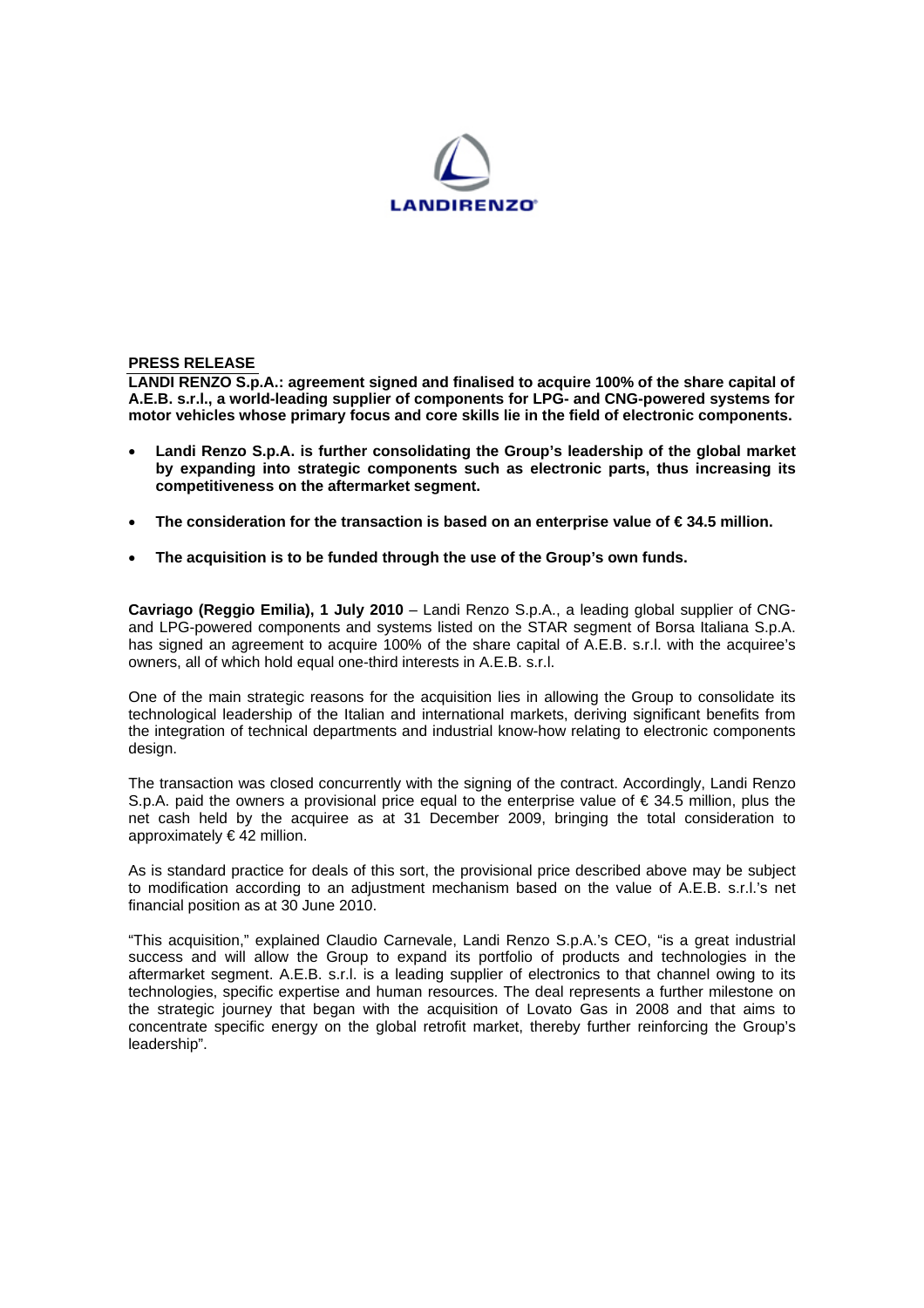

## **PRESS RELEASE**

**LANDI RENZO S.p.A.: agreement signed and finalised to acquire 100% of the share capital of A.E.B. s.r.l., a world-leading supplier of components for LPG- and CNG-powered systems for motor vehicles whose primary focus and core skills lie in the field of electronic components.**

- **Landi Renzo S.p.A. is further consolidating the Group's leadership of the global market by expanding into strategic components such as electronic parts, thus increasing its competitiveness on the aftermarket segment.**
- The consideration for the transaction is based on an enterprise value of €34.5 million.
- **The acquisition is to be funded through the use of the Group's own funds.**

**Cavriago (Reggio Emilia), 1 July 2010** – Landi Renzo S.p.A., a leading global supplier of CNGand LPG-powered components and systems listed on the STAR segment of Borsa Italiana S.p.A. has signed an agreement to acquire 100% of the share capital of A.E.B. s.r.l. with the acquiree's owners, all of which hold equal one-third interests in A.E.B. s.r.l.

One of the main strategic reasons for the acquisition lies in allowing the Group to consolidate its technological leadership of the Italian and international markets, deriving significant benefits from the integration of technical departments and industrial know-how relating to electronic components design.

The transaction was closed concurrently with the signing of the contract. Accordingly, Landi Renzo S.p.A. paid the owners a provisional price equal to the enterprise value of €34.5 million, plus the net cash held by the acquiree as at 31 December 2009, bringing the total consideration to approximately € 42 million.

As is standard practice for deals of this sort, the provisional price described above may be subject to modification according to an adjustment mechanism based on the value of A.E.B. s.r.l.'s net financial position as at 30 June 2010.

"This acquisition," explained Claudio Carnevale, Landi Renzo S.p.A.'s CEO, "is a great industrial success and will allow the Group to expand its portfolio of products and technologies in the aftermarket segment. A.E.B. s.r.l. is a leading supplier of electronics to that channel owing to its technologies, specific expertise and human resources. The deal represents a further milestone on the strategic journey that began with the acquisition of Lovato Gas in 2008 and that aims to concentrate specific energy on the global retrofit market, thereby further reinforcing the Group's leadership".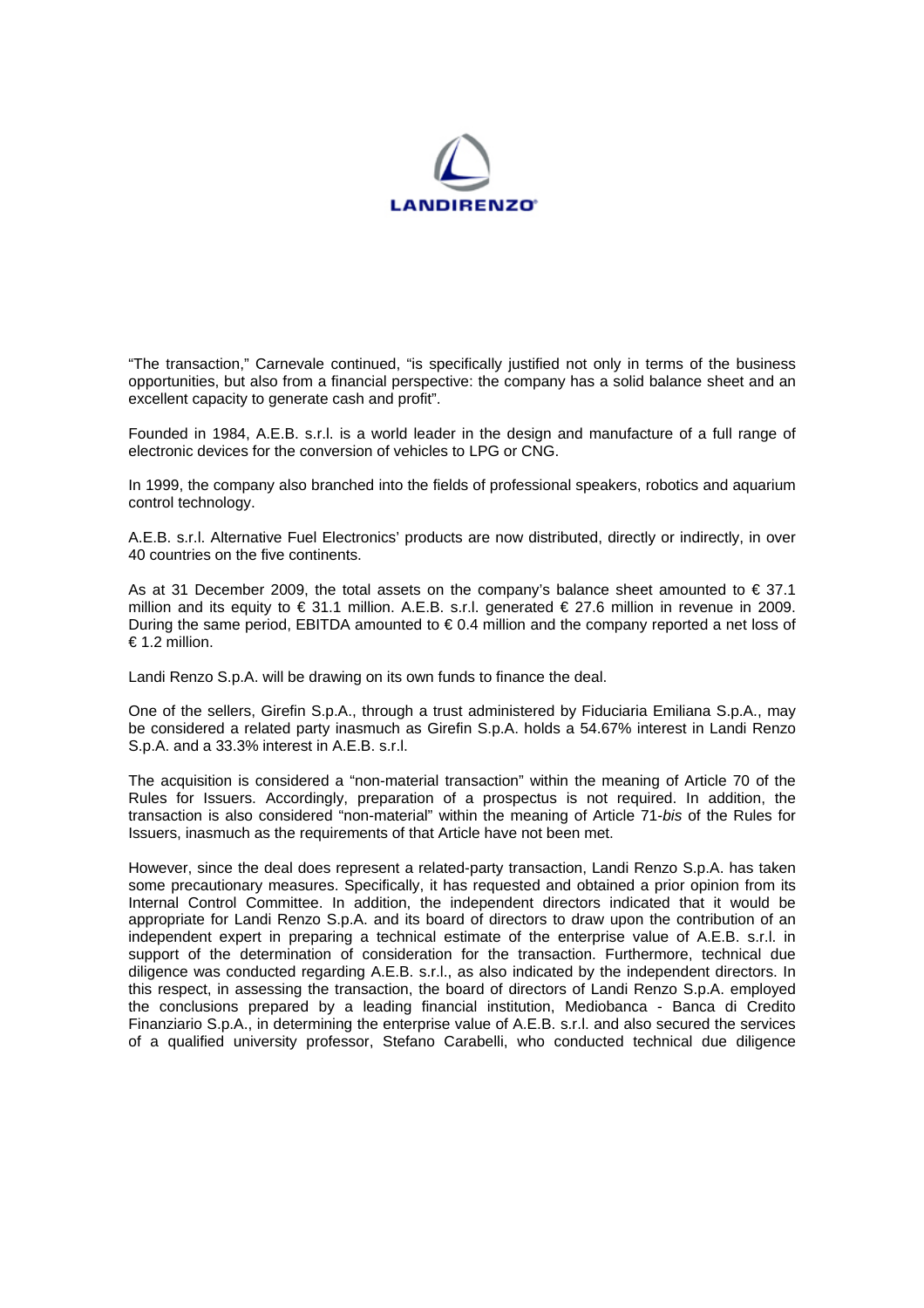

"The transaction," Carnevale continued, "is specifically justified not only in terms of the business opportunities, but also from a financial perspective: the company has a solid balance sheet and an excellent capacity to generate cash and profit".

Founded in 1984, A.E.B. s.r.l. is a world leader in the design and manufacture of a full range of electronic devices for the conversion of vehicles to LPG or CNG.

In 1999, the company also branched into the fields of professional speakers, robotics and aquarium control technology.

A.E.B. s.r.l. Alternative Fuel Electronics' products are now distributed, directly or indirectly, in over 40 countries on the five continents.

As at 31 December 2009, the total assets on the company's balance sheet amounted to  $\epsilon$  37.1 million and its equity to € 31.1 million. A.E.B. s.r.l. generated € 27.6 million in revenue in 2009. During the same period, EBITDA amounted to  $\epsilon$  0.4 million and the company reported a net loss of € 1.2 million.

Landi Renzo S.p.A. will be drawing on its own funds to finance the deal.

One of the sellers, Girefin S.p.A., through a trust administered by Fiduciaria Emiliana S.p.A., may be considered a related party inasmuch as Girefin S.p.A. holds a 54.67% interest in Landi Renzo S.p.A. and a 33.3% interest in A.E.B. s.r.l.

The acquisition is considered a "non-material transaction" within the meaning of Article 70 of the Rules for Issuers. Accordingly, preparation of a prospectus is not required. In addition, the transaction is also considered "non-material" within the meaning of Article 71-*bis* of the Rules for Issuers, inasmuch as the requirements of that Article have not been met.

However, since the deal does represent a related-party transaction, Landi Renzo S.p.A. has taken some precautionary measures. Specifically, it has requested and obtained a prior opinion from its Internal Control Committee. In addition, the independent directors indicated that it would be appropriate for Landi Renzo S.p.A. and its board of directors to draw upon the contribution of an independent expert in preparing a technical estimate of the enterprise value of A.E.B. s.r.l. in support of the determination of consideration for the transaction. Furthermore, technical due diligence was conducted regarding A.E.B. s.r.l., as also indicated by the independent directors. In this respect, in assessing the transaction, the board of directors of Landi Renzo S.p.A. employed the conclusions prepared by a leading financial institution, Mediobanca - Banca di Credito Finanziario S.p.A., in determining the enterprise value of A.E.B. s.r.l. and also secured the services of a qualified university professor, Stefano Carabelli, who conducted technical due diligence